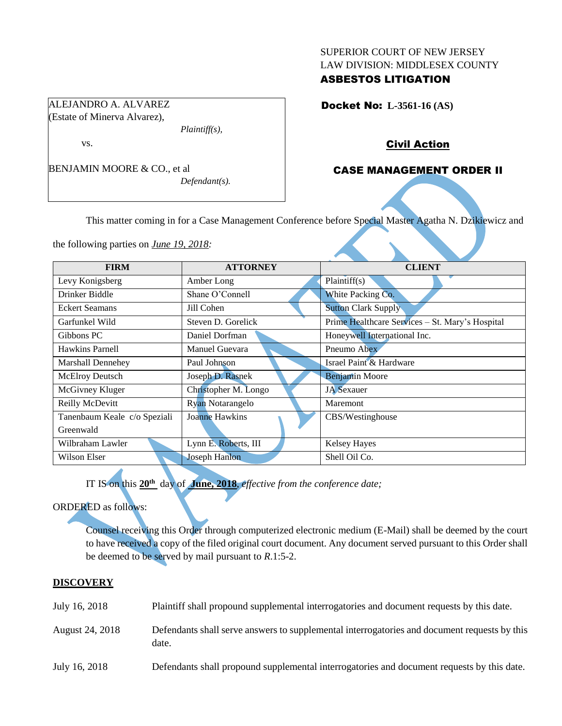#### SUPERIOR COURT OF NEW JERSEY LAW DIVISION: MIDDLESEX COUNTY

# ASBESTOS LITIGATION

Docket No: **L-3561-16 (AS)** 

## Civil Action

# CASE MANAGEMENT ORDER II

This matter coming in for a Case Management Conference before Special Master Agatha N. Dzikiewicz and

the following parties on *June 19, 2018:*

| <b>FIRM</b>                  | <b>ATTORNEY</b>         | <b>CLIENT</b>                                   |
|------------------------------|-------------------------|-------------------------------------------------|
| Levy Konigsberg              | Amber Long              | Plaintiff(s)                                    |
| Drinker Biddle               | Shane O'Connell         | White Packing Co.                               |
| <b>Eckert Seamans</b>        | Jill Cohen              | <b>Sutton Clark Supply</b>                      |
| Garfunkel Wild               | Steven D. Gorelick      | Prime Healthcare Services - St. Mary's Hospital |
| Gibbons PC                   | Daniel Dorfman          | Honeywell International Inc.                    |
| Hawkins Parnell              | Manuel Guevara          | Pneumo Abex                                     |
| Marshall Dennehey            | Paul Johnson            | Israel Paint & Hardware                         |
| McElroy Deutsch              | Joseph D. Rasnek        | <b>Benjamin Moore</b>                           |
| McGivney Kluger              | Christopher M. Longo    | <b>JA</b> Sexauer                               |
| Reilly McDevitt              | <b>Ryan Notarangelo</b> | Maremont                                        |
| Tanenbaum Keale c/o Speziali | <b>Joanne Hawkins</b>   | CBS/Westinghouse                                |
| Greenwald                    |                         |                                                 |
| Wilbraham Lawler             | Lynn E. Roberts, III    | <b>Kelsey Hayes</b>                             |
| Wilson Elser                 | <b>Joseph Hanlon</b>    | Shell Oil Co.                                   |

IT IS on this **20th** day of **June, 2018**, *effective from the conference date;*

ORDERED as follows:

Counsel receiving this Order through computerized electronic medium (E-Mail) shall be deemed by the court to have received a copy of the filed original court document. Any document served pursuant to this Order shall be deemed to be served by mail pursuant to *R*.1:5-2.

## **DISCOVERY**

| July 16, 2018   | Plaintiff shall propound supplemental interrogatories and document requests by this date.             |
|-----------------|-------------------------------------------------------------------------------------------------------|
| August 24, 2018 | Defendants shall serve answers to supplemental interrogatories and document requests by this<br>date. |
| July 16, 2018   | Defendants shall propound supplemental interrogatories and document requests by this date.            |

ALEJANDRO A. ALVAREZ (Estate of Minerva Alvarez),

BENJAMIN MOORE & CO., et al

*Plaintiff(s),*

*Defendant(s).*

vs.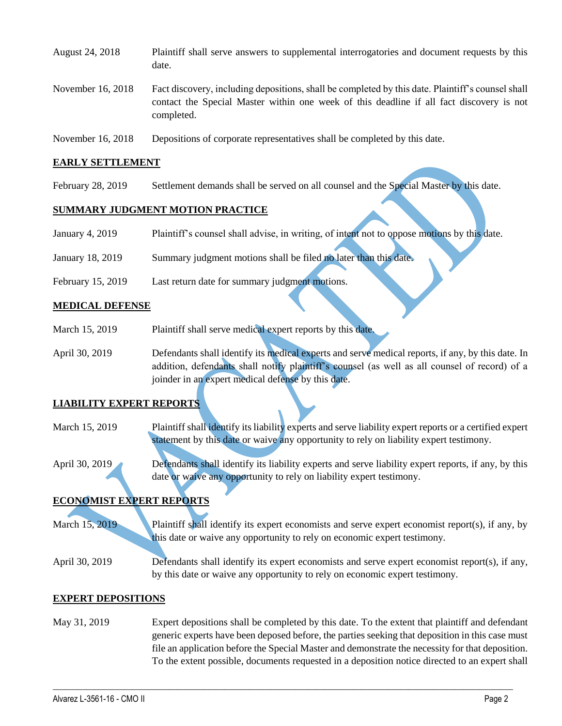| August 24, 2018   | Plaintiff shall serve answers to supplemental interrogatories and document requests by this<br>date.                                                                                                        |
|-------------------|-------------------------------------------------------------------------------------------------------------------------------------------------------------------------------------------------------------|
| November 16, 2018 | Fact discovery, including depositions, shall be completed by this date. Plaintiff's counsel shall<br>contact the Special Master within one week of this deadline if all fact discovery is not<br>completed. |
| November 16, 2018 | Depositions of corporate representatives shall be completed by this date.                                                                                                                                   |

#### **EARLY SETTLEMENT**

February 28, 2019 Settlement demands shall be served on all counsel and the Special Master by this date.

### **SUMMARY JUDGMENT MOTION PRACTICE**

- January 4, 2019 Plaintiff's counsel shall advise, in writing, of intent not to oppose motions by this date.
- January 18, 2019 Summary judgment motions shall be filed no later than this date.
- February 15, 2019 Last return date for summary judgment motions.

### **MEDICAL DEFENSE**

- March 15, 2019 Plaintiff shall serve medical expert reports by this date.
- April 30, 2019 Defendants shall identify its medical experts and serve medical reports, if any, by this date. In addition, defendants shall notify plaintiff's counsel (as well as all counsel of record) of a joinder in an expert medical defense by this date.

## **LIABILITY EXPERT REPORTS**

- March 15, 2019 Plaintiff shall identify its liability experts and serve liability expert reports or a certified expert statement by this date or waive any opportunity to rely on liability expert testimony.
- April 30, 2019 Defendants shall identify its liability experts and serve liability expert reports, if any, by this date or waive any opportunity to rely on liability expert testimony.

## **ECONOMIST EXPERT REPORTS**

March 15, 2019 Plaintiff shall identify its expert economists and serve expert economist report(s), if any, by this date or waive any opportunity to rely on economic expert testimony.

April 30, 2019 Defendants shall identify its expert economists and serve expert economist report(s), if any, by this date or waive any opportunity to rely on economic expert testimony.

#### **EXPERT DEPOSITIONS**

May 31, 2019 Expert depositions shall be completed by this date. To the extent that plaintiff and defendant generic experts have been deposed before, the parties seeking that deposition in this case must file an application before the Special Master and demonstrate the necessity for that deposition. To the extent possible, documents requested in a deposition notice directed to an expert shall

 $\_$  ,  $\_$  ,  $\_$  ,  $\_$  ,  $\_$  ,  $\_$  ,  $\_$  ,  $\_$  ,  $\_$  ,  $\_$  ,  $\_$  ,  $\_$  ,  $\_$  ,  $\_$  ,  $\_$  ,  $\_$  ,  $\_$  ,  $\_$  ,  $\_$  ,  $\_$  ,  $\_$  ,  $\_$  ,  $\_$  ,  $\_$  ,  $\_$  ,  $\_$  ,  $\_$  ,  $\_$  ,  $\_$  ,  $\_$  ,  $\_$  ,  $\_$  ,  $\_$  ,  $\_$  ,  $\_$  ,  $\_$  ,  $\_$  ,